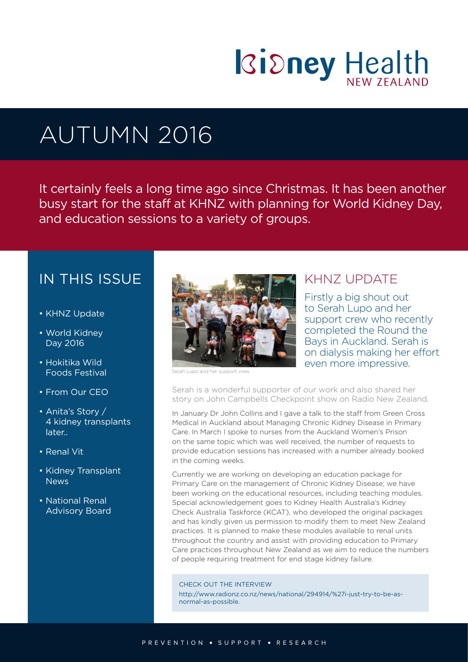

# AUTUMN 2016

It certainly feels a long time ago since Christmas. It has been another busy start for the staff at KHNZ with planning for World Kidney Day, and education sessions to a variety of groups.

# IN THIS ISSUE

- KHNZ Update
- World Kidney Day 2016
- Hokitika Wild Foods Festival
- From Our CEO
- Anita's Story / 4 kidney transplants later..
- Renal Vit
- Kidney Transplant **News**
- National Renal Advisory Board



Serah Lupo and her support crew

### KHNZ UPDATE

Firstly a big shout out to Serah Lupo and her support crew who recently completed the Round the Bays in Auckland. Serah is on dialysis making her effort even more impressive.

Serah is a wonderful supporter of our work and also shared her story on John Campbells Checkpoint show on Radio New Zealand.

In January Dr John Collins and I gave a talk to the staff from Green Cross Medical in Auckland about Managing Chronic Kidney Disease in Primary Care. In March I spoke to nurses from the Auckland Women's Prison on the same topic which was well received, the number of requests to provide education sessions has increased with a number already booked in the coming weeks.

Currently we are working on developing an education package for Primary Care on the management of Chronic Kidney Disease; we have been working on the educational resources, including teaching modules. Special acknowledgement goes to Kidney Health Australia's Kidney Check Australia Taskforce (KCAT), who developed the original packages and has kindly given us permission to modify them to meet New Zealand practices. It is planned to make these modules available to renal units throughout the country and assist with providing education to Primary Care practices throughout New Zealand as we aim to reduce the numbers of people requiring treatment for end stage kidney failure.

#### CHECK OUT THE INTERVIEW

http://www.radionz.co.nz/news/national/294914/%27i-just-try-to-be-asnormal-as-possible.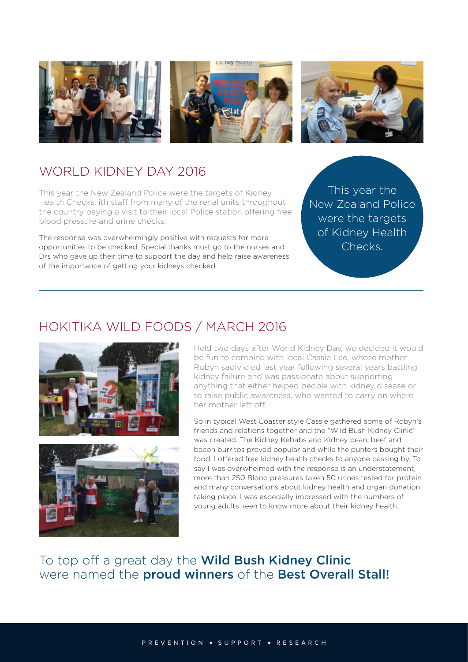





# WORLD KIDNEY DAY 2016

This year the New Zealand Police were the targets of Kidney Health Checks, ith staff from many of the renal units throughout the country paying a visit to their local Police station offering free blood pressure and urine checks.

The response was overwhelmingly positive with requests for more opportunities to be checked. Special thanks must go to the nurses and Drs who gave up their time to support the day and help raise awareness of the importance of getting your kidneys checked.

This year the New Zealand Police were the targets of Kidney Health Checks.

## HOKITIKA WILD FOODS / MARCH 2016





Held two days after World Kidney Day, we decided it would be fun to combine with local Cassie Lee, whose mother Robyn sadly died last year following several years battling kidney failure and was passionate about supporting anything that either helped people with kidney disease or to raise public awareness, who wanted to carry on where her mother left off.

So in typical West Coaster style Cassie gathered some of Robyn's friends and relations together and the "Wild Bush Kidney Clinic" was created. The Kidney Kebabs and Kidney bean, beef and bacon burritos proved popular and while the punters bought their food, I offered free kidney health checks to anyone passing by. To say I was overwhelmed with the response is an understatement, more than 250 Blood pressures taken 50 urines tested for protein and many conversations about kidney health and organ donation taking place. I was especially impressed with the numbers of young adults keen to know more about their kidney health.

To top off a great day the **Wild Bush Kidney Clinic** were named the **proud winners** of the **Best Overall Stall!**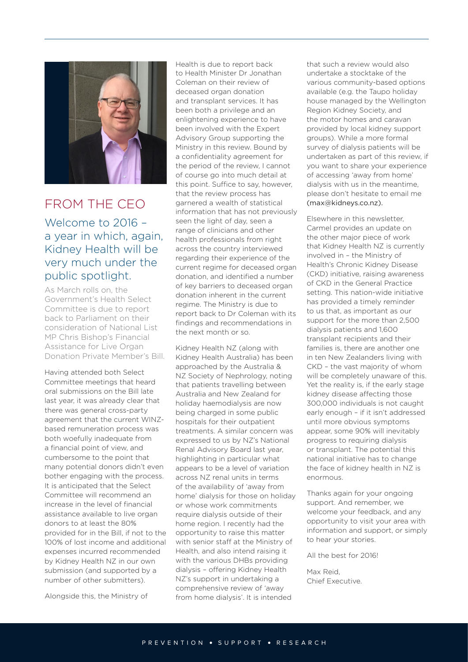

FROM THE CEO

### Welcome to 2016 – a year in which, again, Kidney Health will be very much under the public spotlight.

As March rolls on, the Government's Health Select Committee is due to report back to Parliament on their consideration of National List MP Chris Bishop's Financial Assistance for Live Organ Donation Private Member's Bill.

Having attended both Select Committee meetings that heard oral submissions on the Bill late last year, it was already clear that there was general cross-party agreement that the current WINZbased remuneration process was both woefully inadequate from a financial point of view, and cumbersome to the point that many potential donors didn't even bother engaging with the process. It is anticipated that the Select Committee will recommend an increase in the level of financial assistance available to live organ donors to at least the 80% provided for in the Bill, if not to the 100% of lost income and additional expenses incurred recommended by Kidney Health NZ in our own submission (and supported by a number of other submitters).

Alongside this, the Ministry of

Health is due to report back to Health Minister Dr Jonathan Coleman on their review of deceased organ donation and transplant services. It has been both a privilege and an enlightening experience to have been involved with the Expert Advisory Group supporting the Ministry in this review. Bound by a confidentiality agreement for the period of the review, I cannot of course go into much detail at this point. Suffice to say, however, that the review process has garnered a wealth of statistical information that has not previously seen the light of day, seen a range of clinicians and other health professionals from right across the country interviewed regarding their experience of the current regime for deceased organ donation, and identified a number of key barriers to deceased organ donation inherent in the current regime. The Ministry is due to report back to Dr Coleman with its findings and recommendations in the next month or so.

Kidney Health NZ (along with Kidney Health Australia) has been approached by the Australia & NZ Society of Nephrology, noting that patients travelling between Australia and New Zealand for holiday haemodialysis are now being charged in some public hospitals for their outpatient treatments. A similar concern was expressed to us by NZ's National Renal Advisory Board last year, highlighting in particular what appears to be a level of variation across NZ renal units in terms of the availability of 'away from home' dialysis for those on holiday or whose work commitments require dialysis outside of their home region. I recently had the opportunity to raise this matter with senior staff at the Ministry of Health, and also intend raising it with the various DHBs providing dialysis – offering Kidney Health NZ's support in undertaking a comprehensive review of 'away from home dialysis'. It is intended

that such a review would also undertake a stocktake of the various community-based options available (e.g. the Taupo holiday house managed by the Wellington Region Kidney Society, and the motor homes and caravan provided by local kidney support groups). While a more formal survey of dialysis patients will be undertaken as part of this review, if you want to share your experience of accessing 'away from home' dialysis with us in the meantime, please don't hesitate to email me (max@kidneys.co.nz).

Elsewhere in this newsletter, Carmel provides an update on the other major piece of work that Kidney Health NZ is currently involved in – the Ministry of Health's Chronic Kidney Disease (CKD) initiative, raising awareness of CKD in the General Practice setting. This nation-wide initiative has provided a timely reminder to us that, as important as our support for the more than 2,500 dialysis patients and 1,600 transplant recipients and their families is, there are another one in ten New Zealanders living with CKD – the vast majority of whom will be completely unaware of this. Yet the reality is, if the early stage kidney disease affecting those 300,000 individuals is not caught early enough – if it isn't addressed until more obvious symptoms appear, some 90% will inevitably progress to requiring dialysis or transplant. The potential this national initiative has to change the face of kidney health in NZ is enormous.

Thanks again for your ongoing support. And remember, we welcome your feedback, and any opportunity to visit your area with information and support, or simply to hear your stories.

All the best for 2016!

Max Reid, Chief Executive.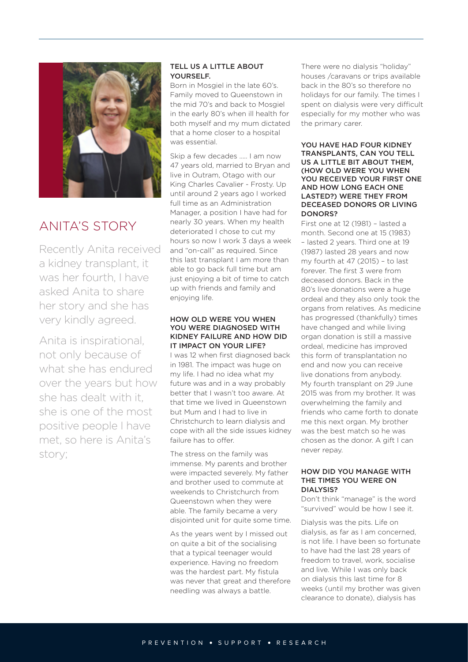

# ANITA'S STORY

Recently Anita received a kidney transplant, it was her fourth, I have asked Anita to share her story and she has very kindly agreed.

Anita is inspirational, not only because of what she has endured over the years but how she has dealt with it, she is one of the most positive people I have met, so here is Anita's story;

#### TELL US A LITTLE ABOUT YOURSELE.

Born in Mosgiel in the late 60's. Family moved to Queenstown in the mid 70's and back to Mosgiel in the early 80's when ill health for both myself and my mum dictated that a home closer to a hospital was essential.

Skip a few decades ….. I am now 47 years old, married to Bryan and live in Outram, Otago with our King Charles Cavalier - Frosty. Up until around 2 years ago I worked full time as an Administration Manager, a position I have had for nearly 30 years. When my health deteriorated I chose to cut my hours so now I work 3 days a week and "on-call" as required. Since this last transplant I am more than able to go back full time but am just enjoying a bit of time to catch up with friends and family and enjoying life.

#### HOW OLD WERE YOU WHEN YOU WERE DIAGNOSED WITH KIDNEY FAILURE AND HOW DID IT IMPACT ON YOUR LIFE?

I was 12 when first diagnosed back in 1981. The impact was huge on my life. I had no idea what my future was and in a way probably better that I wasn't too aware. At that time we lived in Queenstown but Mum and I had to live in Christchurch to learn dialysis and cope with all the side issues kidney failure has to offer.

The stress on the family was immense. My parents and brother were impacted severely. My father and brother used to commute at weekends to Christchurch from Queenstown when they were able. The family became a very disjointed unit for quite some time.

As the years went by I missed out on quite a bit of the socialising that a typical teenager would experience. Having no freedom was the hardest part. My fistula was never that great and therefore needling was always a battle.

There were no dialysis "holiday" houses /caravans or trips available back in the 80's so therefore no holidays for our family. The times I spent on dialysis were very difficult especially for my mother who was the primary carer.

#### YOU HAVE HAD FOUR KIDNEY TRANSPLANTS, CAN YOU TELL US A LITTLE BIT ABOUT THEM, (HOW OLD WERE YOU WHEN YOU RECEIVED YOUR FIRST ONE AND HOW LONG EACH ONE LASTED?) WERE THEY FROM DECEASED DONORS OR LIVING DONORS?

First one at 12 (1981) – lasted a month. Second one at 15 (1983) – lasted 2 years. Third one at 19 (1987) lasted 28 years and now my fourth at 47 (2015) – to last forever. The first 3 were from deceased donors. Back in the 80's live donations were a huge ordeal and they also only took the organs from relatives. As medicine has progressed (thankfully) times have changed and while living organ donation is still a massive ordeal, medicine has improved this form of transplantation no end and now you can receive live donations from anybody. My fourth transplant on 29 June 2015 was from my brother. It was overwhelming the family and friends who came forth to donate me this next organ. My brother was the best match so he was chosen as the donor. A gift I can never repay.

#### HOW DID YOU MANAGE WITH THE TIMES YOU WERE ON DIALYSIS?

Don't think "manage" is the word "survived" would be how I see it.

Dialysis was the pits. Life on dialysis, as far as I am concerned, is not life. I have been so fortunate to have had the last 28 years of freedom to travel, work, socialise and live. While I was only back on dialysis this last time for 8 weeks (until my brother was given clearance to donate), dialysis has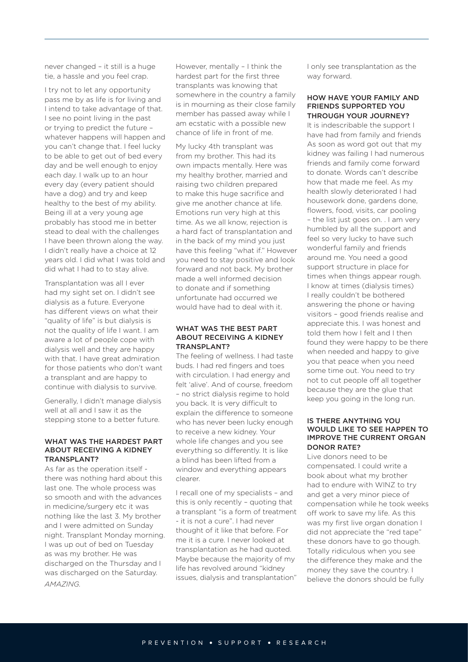never changed – it still is a huge tie, a hassle and you feel crap.

I try not to let any opportunity pass me by as life is for living and I intend to take advantage of that. I see no point living in the past or trying to predict the future – whatever happens will happen and you can't change that. I feel lucky to be able to get out of bed every day and be well enough to enjoy each day. I walk up to an hour every day (every patient should have a dog) and try and keep healthy to the best of my ability. Being ill at a very young age probably has stood me in better stead to deal with the challenges I have been thrown along the way. I didn't really have a choice at 12 years old. I did what I was told and did what I had to to stay alive.

Transplantation was all I ever had my sight set on. I didn't see dialysis as a future. Everyone has different views on what their "quality of life" is but dialysis is not the quality of life I want. I am aware a lot of people cope with dialysis well and they are happy with that. I have great admiration for those patients who don't want a transplant and are happy to continue with dialysis to survive.

Generally, I didn't manage dialysis well at all and I saw it as the stepping stone to a better future.

#### WHAT WAS THE HARDEST PART ABOUT RECEIVING A KIDNEY TRANSPLANT?

As far as the operation itself there was nothing hard about this last one. The whole process was so smooth and with the advances in medicine/surgery etc it was nothing like the last 3. My brother and I were admitted on Sunday night. Transplant Monday morning. I was up out of bed on Tuesday as was my brother. He was discharged on the Thursday and I was discharged on the Saturday. *AMAZING.*

However, mentally – I think the hardest part for the first three transplants was knowing that somewhere in the country a family is in mourning as their close family member has passed away while I am ecstatic with a possible new chance of life in front of me.

My lucky 4th transplant was from my brother. This had its own impacts mentally. Here was my healthy brother, married and raising two children prepared to make this huge sacrifice and give me another chance at life. Emotions run very high at this time. As we all know, rejection is a hard fact of transplantation and in the back of my mind you just have this feeling "what if." However you need to stay positive and look forward and not back. My brother made a well informed decision to donate and if something unfortunate had occurred we would have had to deal with it.

#### WHAT WAS THE BEST PART ABOUT RECEIVING A KIDNEY TRANSPLANT?

The feeling of wellness. I had taste buds. I had red fingers and toes with circulation. I had energy and felt 'alive'. And of course, freedom – no strict dialysis regime to hold you back. It is very difficult to explain the difference to someone who has never been lucky enough to receive a new kidney. Your whole life changes and you see everything so differently. It is like a blind has been lifted from a window and everything appears clearer.

I recall one of my specialists – and this is only recently – quoting that a transplant "is a form of treatment - it is not a cure". I had never thought of it like that before. For me it is a cure. I never looked at transplantation as he had quoted. Maybe because the majority of my life has revolved around "kidney issues, dialysis and transplantation"

I only see transplantation as the way forward.

#### HOW HAVE YOUR FAMILY AND FRIENDS SUPPORTED YOU THROUGH YOUR JOURNEY?

It is indescribable the support I have had from family and friends As soon as word got out that my kidney was failing I had numerous friends and family come forward to donate. Words can't describe how that made me feel. As my health slowly deteriorated I had housework done, gardens done, flowers, food, visits, car pooling – the list just goes on. . I am very humbled by all the support and feel so very lucky to have such wonderful family and friends around me. You need a good support structure in place for times when things appear rough. I know at times (dialysis times) I really couldn't be bothered answering the phone or having visitors – good friends realise and appreciate this. I was honest and told them how I felt and I then found they were happy to be there when needed and happy to give you that peace when you need some time out. You need to try not to cut people off all together because they are the glue that keep you going in the long run.

#### IS THERE ANYTHING YOU WOULD LIKE TO SEE HAPPEN TO IMPROVE THE CURRENT ORGAN DONOR RATE?

Live donors need to be compensated. I could write a book about what my brother had to endure with WINZ to try and get a very minor piece of compensation while he took weeks off work to save my life. As this was my first live organ donation I did not appreciate the "red tape" these donors have to go though. Totally ridiculous when you see the difference they make and the money they save the country. I believe the donors should be fully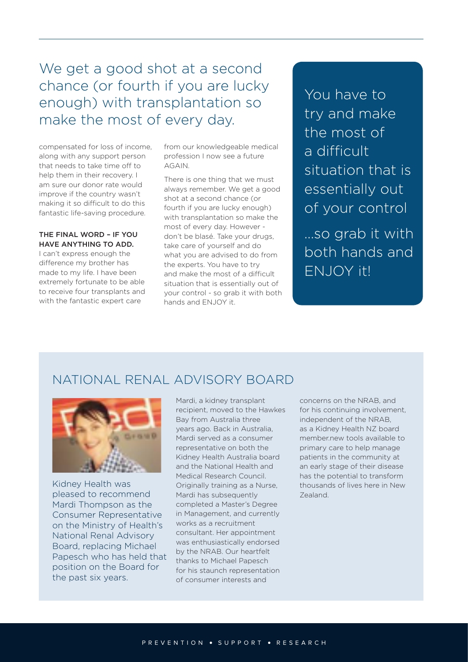# We get a good shot at a second chance (or fourth if you are lucky enough) with transplantation so make the most of every day.

compensated for loss of income, along with any support person that needs to take time off to help them in their recovery. I am sure our donor rate would improve if the country wasn't making it so difficult to do this fantastic life-saving procedure.

#### THE FINAL WORD – IF YOU HAVE ANYTHING TO ADD.

I can't express enough the difference my brother has made to my life. I have been extremely fortunate to be able to receive four transplants and with the fantastic expert care

from our knowledgeable medical profession I now see a future AGAIN.

There is one thing that we must always remember. We get a good shot at a second chance (or fourth if you are lucky enough) with transplantation so make the most of every day. However don't be blasé. Take your drugs, take care of yourself and do what you are advised to do from the experts. You have to try and make the most of a difficult situation that is essentially out of your control - so grab it with both hands and ENJOY it.

You have to try and make the most of a difficult situation that is essentially out of your control

...so grab it with both hands and ENJOY it!

## NATIONAL RENAL ADVISORY BOARD



Kidney Health was pleased to recommend Mardi Thompson as the Consumer Representative on the Ministry of Health's National Renal Advisory Board, replacing Michael Papesch who has held that position on the Board for the past six years.

Mardi, a kidney transplant recipient, moved to the Hawkes Bay from Australia three years ago. Back in Australia, Mardi served as a consumer representative on both the Kidney Health Australia board and the National Health and Medical Research Council. Originally training as a Nurse, Mardi has subsequently completed a Master's Degree in Management, and currently works as a recruitment consultant. Her appointment was enthusiastically endorsed by the NRAB. Our heartfelt thanks to Michael Papesch for his staunch representation of consumer interests and

concerns on the NRAB, and for his continuing involvement, independent of the NRAB, as a Kidney Health NZ board member.new tools available to primary care to help manage patients in the community at an early stage of their disease has the potential to transform thousands of lives here in New Zealand.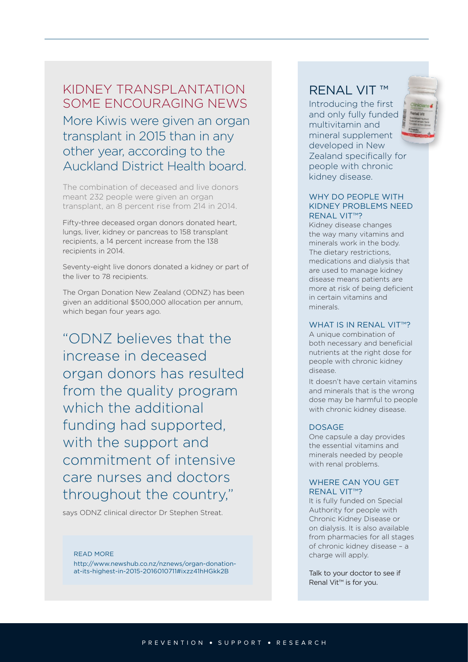### KIDNEY TRANSPLANTATION SOME ENCOURAGING NEWS

More Kiwis were given an organ transplant in 2015 than in any other year, according to the Auckland District Health board.

The combination of deceased and live donors meant 232 people were given an organ transplant, an 8 percent rise from 214 in 2014.

Fifty-three deceased organ donors donated heart, lungs, liver, kidney or pancreas to 158 transplant recipients, a 14 percent increase from the 138 recipients in 2014.

Seventy-eight live donors donated a kidney or part of the liver to 78 recipients.

The Organ Donation New Zealand (ODNZ) has been given an additional \$500,000 allocation per annum, which began four years ago.

"ODNZ believes that the increase in deceased organ donors has resulted from the quality program which the additional funding had supported, with the support and commitment of intensive care nurses and doctors throughout the country,"

says ODNZ clinical director Dr Stephen Streat.

READ MORE http://www.newshub.co.nz/nznews/organ-donationat-its-highest-in-2015-2016010711#ixzz41hHGkk2B

### RENAL VIT ™

Introducing the first and only fully funded multivitamin and mineral supplement developed in New Zealand specifically for people with chronic kidney disease.



Kidney disease changes the way many vitamins and minerals work in the body. The dietary restrictions, medications and dialysis that are used to manage kidney disease means patients are more at risk of being deficient in certain vitamins and minerals.

#### WHAT IS IN RFNAL VIT™?

A unique combination of both necessary and beneficial nutrients at the right dose for people with chronic kidney disease.

It doesn't have certain vitamins and minerals that is the wrong dose may be harmful to people with chronic kidney disease.

#### DOSAGE

One capsule a day provides the essential vitamins and minerals needed by people with renal problems.

#### WHERE CAN YOU GET RENAL VIT™?

It is fully funded on Special Authority for people with Chronic Kidney Disease or on dialysis. It is also available from pharmacies for all stages of chronic kidney disease – a charge will apply.

Talk to your doctor to see if Renal Vit™ is for you.